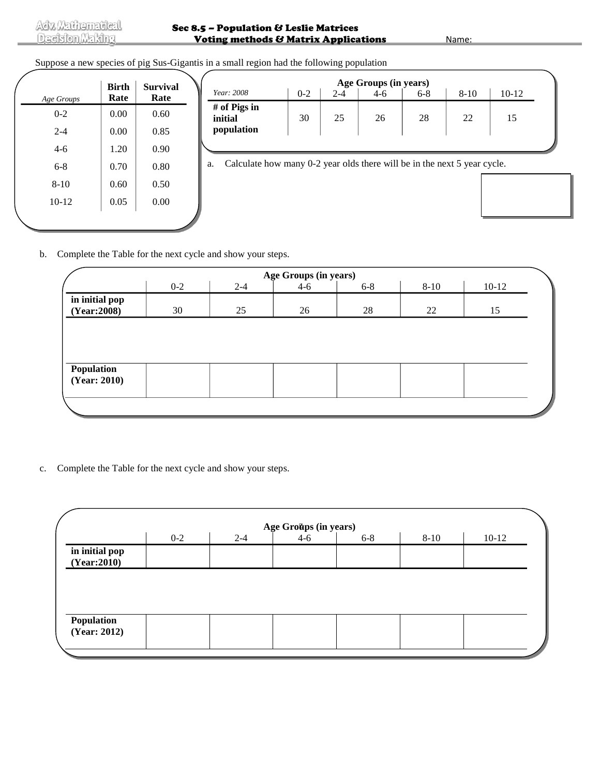## Suppose a new species of pig Sus-Gigantis in a small region had the following population

| Age Groups | <b>Birth</b><br>Rate | <b>Survival</b><br>Rate |
|------------|----------------------|-------------------------|
| $0 - 2$    | 0.00                 | 0.60                    |
| $2 - 4$    | 0.00                 | 0.85                    |
| $4-6$      | 1.20                 | 0.90                    |
| 6-8        | 0.70                 | 0.80                    |
| $8-10$     | 0.60                 | 0.50                    |
| $10 - 12$  | 0.05                 | 0.00                    |
|            |                      |                         |

| Year: 2008<br># of Pigs in | $0 - 2$ | $2 - 4$ |    | $6 - 8$ | $8-10$ | $10-12$ |
|----------------------------|---------|---------|----|---------|--------|---------|
| initial<br>population      | 30      | 25      | 26 | 28      | 22     | 15      |
|                            |         |         |    |         |        |         |

b. Complete the Table for the next cycle and show your steps.

| Age Groups (in years)         |         |         |         |         |          |         |  |  |  |  |
|-------------------------------|---------|---------|---------|---------|----------|---------|--|--|--|--|
|                               | $0 - 2$ | $2 - 4$ | $4 - 6$ | $6 - 8$ | $8 - 10$ | $10-12$ |  |  |  |  |
| in initial pop<br>(Year:2008) | 30      | 25      | 26      | 28      | 22       | 15      |  |  |  |  |
|                               |         |         |         |         |          |         |  |  |  |  |
|                               |         |         |         |         |          |         |  |  |  |  |
|                               |         |         |         |         |          |         |  |  |  |  |
| Population<br>(Year: 2010)    |         |         |         |         |          |         |  |  |  |  |
|                               |         |         |         |         |          |         |  |  |  |  |
|                               |         |         |         |         |          |         |  |  |  |  |
|                               |         |         |         |         |          |         |  |  |  |  |

c. Complete the Table for the next cycle and show your steps.

| $0 - 2$<br>$4 - 6$<br>$2 - 4$<br>$10-12$<br>$8 - 10$<br>$6 - 8$ |  | Age Groups (in years) |  |  |
|-----------------------------------------------------------------|--|-----------------------|--|--|
| in initial pop                                                  |  |                       |  |  |
| (Year:2010)                                                     |  |                       |  |  |
|                                                                 |  |                       |  |  |
|                                                                 |  |                       |  |  |
|                                                                 |  |                       |  |  |
|                                                                 |  |                       |  |  |
|                                                                 |  |                       |  |  |
|                                                                 |  |                       |  |  |
|                                                                 |  |                       |  |  |
|                                                                 |  |                       |  |  |
| Population<br>(Year: 2012)                                      |  |                       |  |  |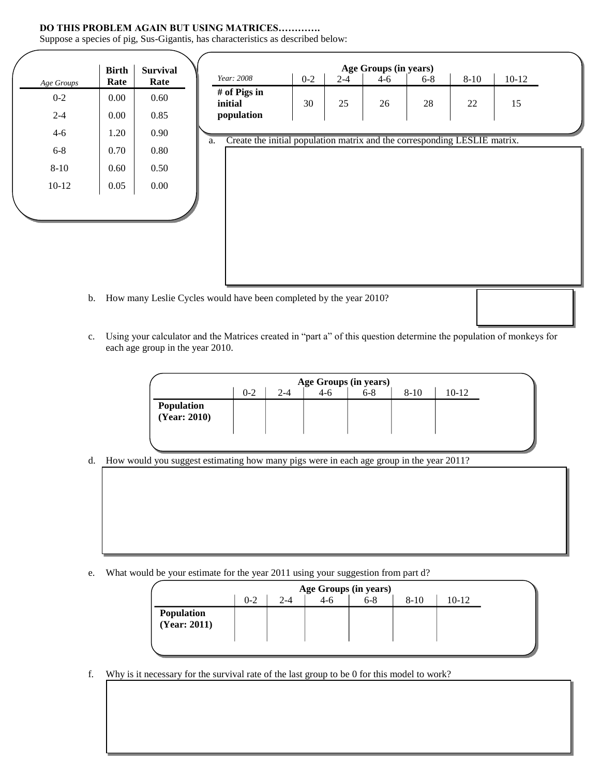## **DO THIS PROBLEM AGAIN BUT USING MATRICES………….**

Suppose a species of pig, Sus-Gigantis, has characteristics as described below:

|            | <b>Birth</b> | <b>Survival</b> |                                                                                 |         |         | Age Groups (in years) |         |          |         |
|------------|--------------|-----------------|---------------------------------------------------------------------------------|---------|---------|-----------------------|---------|----------|---------|
| Age Groups | Rate         | Rate            | Year: 2008                                                                      | $0 - 2$ | $2 - 4$ | $4 - 6$               | $6 - 8$ | $8 - 10$ | $10-12$ |
| $0 - 2$    | 0.00         | 0.60            | # of Pigs in<br>initial                                                         | 30      | 25      | 26                    | 28      | $22\,$   | 15      |
| $2 - 4$    | 0.00         | 0.85            | population                                                                      |         |         |                       |         |          |         |
| $4 - 6$    | 1.20         | 0.90            | Create the initial population matrix and the corresponding LESLIE matrix.<br>a. |         |         |                       |         |          |         |
| $6 - 8$    | 0.70         | 0.80            |                                                                                 |         |         |                       |         |          |         |
| $8 - 10$   | 0.60         | 0.50            |                                                                                 |         |         |                       |         |          |         |
| $10-12$    | 0.05         | $0.00\,$        |                                                                                 |         |         |                       |         |          |         |
|            |              |                 |                                                                                 |         |         |                       |         |          |         |
|            |              |                 |                                                                                 |         |         |                       |         |          |         |
|            |              |                 |                                                                                 |         |         |                       |         |          |         |
|            |              |                 |                                                                                 |         |         |                       |         |          |         |
|            |              |                 |                                                                                 |         |         |                       |         |          |         |

- b. How many Leslie Cycles would have been completed by the year 2010?
- c. Using your calculator and the Matrices created in "part a" of this question determine the population of monkeys for each age group in the year 2010.

|                                   | Age Groups (in years) |         |     |         |          |         |  |  |  |  |
|-----------------------------------|-----------------------|---------|-----|---------|----------|---------|--|--|--|--|
|                                   | $0 - 2$               | $2 - 4$ | 4-ი | $6 - 8$ | $8 - 10$ | $10-12$ |  |  |  |  |
| <b>Population</b><br>(Year: 2010) |                       |         |     |         |          |         |  |  |  |  |

d. How would you suggest estimating how many pigs were in each age group in the year 2011?

e. What would be your estimate for the year 2011 using your suggestion from part d?

|              |         |         |         | Age Groups (in years) |        |       |
|--------------|---------|---------|---------|-----------------------|--------|-------|
|              | $0 - 2$ | $2 - 4$ | $4 - 6$ | $6 - 8$               | $8-10$ | 10-12 |
| Population   |         |         |         |                       |        |       |
| (Year: 2011) |         |         |         |                       |        |       |
|              |         |         |         |                       |        |       |

f. Why is it necessary for the survival rate of the last group to be 0 for this model to work?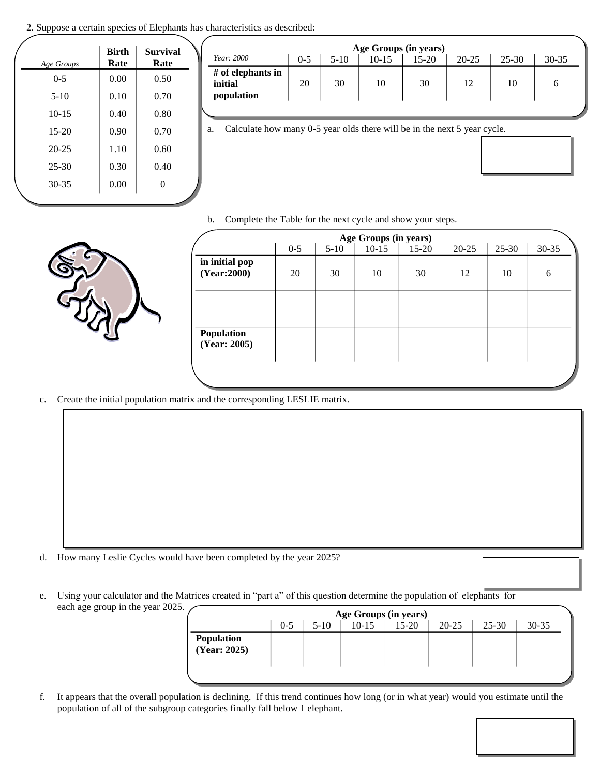2. Suppose a certain species of Elephants has characteristics as described:

| Age Groups | <b>Birth</b><br>Rate | <b>Survival</b><br>Rate |
|------------|----------------------|-------------------------|
| $0 - 5$    | 0.00                 | 0.50                    |
| $5-10$     | 0.10                 | 0.70                    |
| $10 - 15$  | 0.40                 | 0.80                    |
| $15 - 20$  | 0.90                 | 0.70                    |
| $20 - 25$  | 1.10                 | 0.60                    |
| $25 - 30$  | 0.30                 | 0.40                    |
| $30 - 35$  | 0.00                 | 0                       |

|                                            |         |        | Age Groups (in years) |       |           |           |           |
|--------------------------------------------|---------|--------|-----------------------|-------|-----------|-----------|-----------|
| Year: 2000                                 | $0 - 5$ | $5-10$ | $10 - 15$             | 15-20 | $20 - 25$ | $25 - 30$ | $30 - 35$ |
| # of elephants in<br>initial<br>population | 20      | 30     | 10                    | 30    |           | 10        |           |

a. Calculate how many 0-5 year olds there will be in the next 5 ye

b. Complete the Table for the next cycle and show your steps.



|                               | Age Groups (in years) |        |         |         |           |           |           |  |  |  |
|-------------------------------|-----------------------|--------|---------|---------|-----------|-----------|-----------|--|--|--|
|                               | $0 - 5$               | $5-10$ | $10-15$ | $15-20$ | $20 - 25$ | $25 - 30$ | $30 - 35$ |  |  |  |
| in initial pop<br>(Year:2000) | 20                    | 30     | 10      | 30      | 12        | 10        | 6         |  |  |  |
|                               |                       |        |         |         |           |           |           |  |  |  |
| Population<br>(Year: 2005)    |                       |        |         |         |           |           |           |  |  |  |
|                               |                       |        |         |         |           |           |           |  |  |  |

c. Create the initial population matrix and the corresponding LESLIE matrix.

- d. How many Leslie Cycles would have been completed by the year 2025?
- e. Using your calculator and the Matrices created in "part a" of this question determine the population of elephants for each age group in the year 2025.

|                            | Age Groups (in years) |        |           |           |           |           |           |  |  |  |
|----------------------------|-----------------------|--------|-----------|-----------|-----------|-----------|-----------|--|--|--|
|                            | $0 - 5$               | $5-10$ | $10 - 15$ | $15 - 20$ | $20 - 25$ | $25 - 30$ | $30 - 35$ |  |  |  |
| Population<br>(Year: 2025) |                       |        |           |           |           |           |           |  |  |  |
|                            |                       |        |           |           |           |           |           |  |  |  |

f. It appears that the overall population is declining. If this trend continues how long (or in what year) would you estimate until the population of all of the subgroup categories finally fall below 1 elephant.